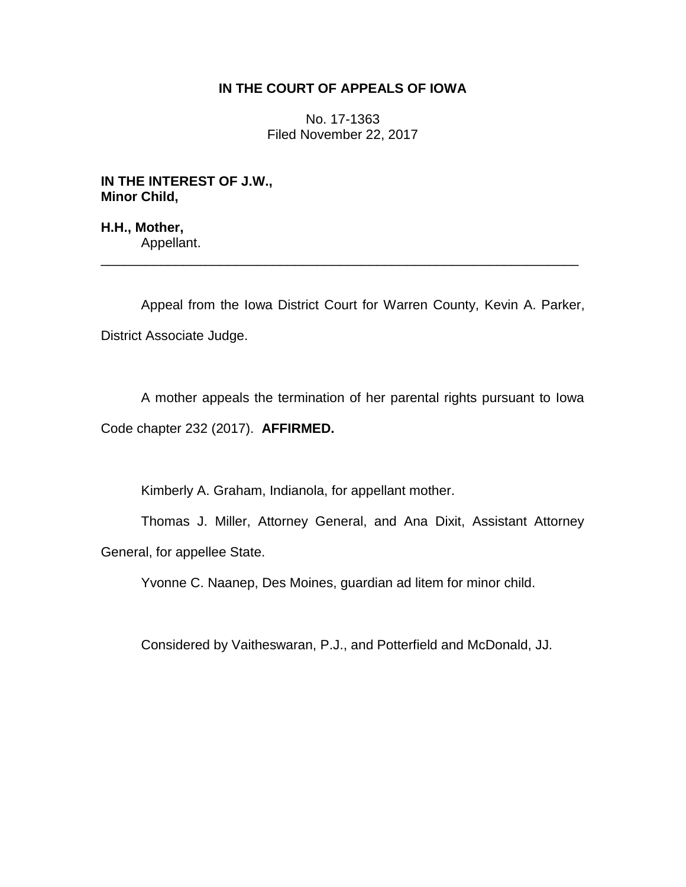## **IN THE COURT OF APPEALS OF IOWA**

No. 17-1363 Filed November 22, 2017

**IN THE INTEREST OF J.W., Minor Child,**

**H.H., Mother,** Appellant.

Appeal from the Iowa District Court for Warren County, Kevin A. Parker, District Associate Judge.

\_\_\_\_\_\_\_\_\_\_\_\_\_\_\_\_\_\_\_\_\_\_\_\_\_\_\_\_\_\_\_\_\_\_\_\_\_\_\_\_\_\_\_\_\_\_\_\_\_\_\_\_\_\_\_\_\_\_\_\_\_\_\_\_

A mother appeals the termination of her parental rights pursuant to Iowa Code chapter 232 (2017). **AFFIRMED.**

Kimberly A. Graham, Indianola, for appellant mother.

Thomas J. Miller, Attorney General, and Ana Dixit, Assistant Attorney General, for appellee State.

Yvonne C. Naanep, Des Moines, guardian ad litem for minor child.

Considered by Vaitheswaran, P.J., and Potterfield and McDonald, JJ.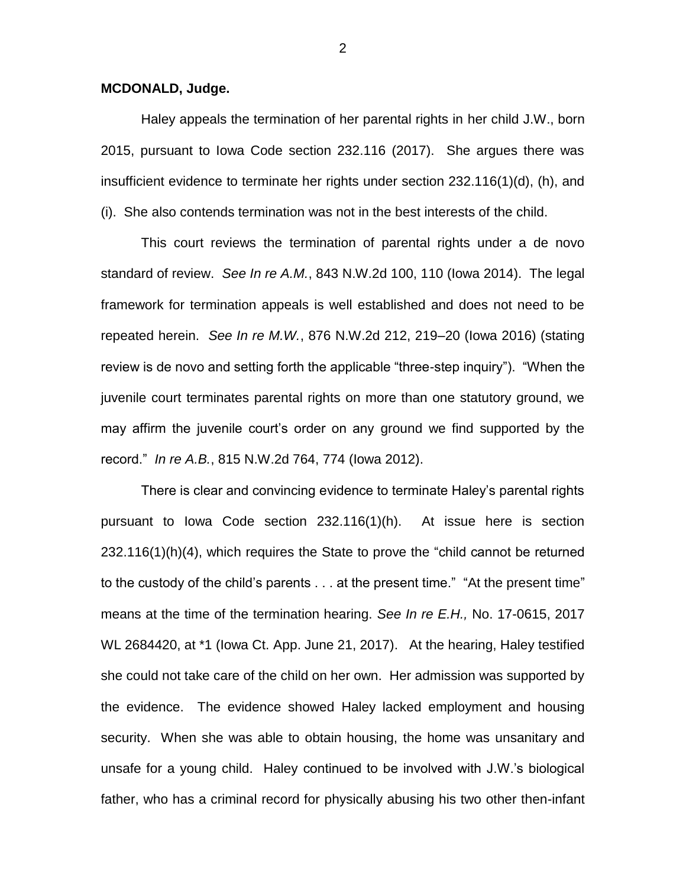## **MCDONALD, Judge.**

Haley appeals the termination of her parental rights in her child J.W., born 2015, pursuant to Iowa Code section 232.116 (2017). She argues there was insufficient evidence to terminate her rights under section 232.116(1)(d), (h), and (i). She also contends termination was not in the best interests of the child.

This court reviews the termination of parental rights under a de novo standard of review. *See In re A.M.*, 843 N.W.2d 100, 110 (Iowa 2014). The legal framework for termination appeals is well established and does not need to be repeated herein. *See In re M.W.*, 876 N.W.2d 212, 219–20 (Iowa 2016) (stating review is de novo and setting forth the applicable "three-step inquiry"). "When the juvenile court terminates parental rights on more than one statutory ground, we may affirm the juvenile court's order on any ground we find supported by the record." *In re A.B.*, 815 N.W.2d 764, 774 (Iowa 2012).

There is clear and convincing evidence to terminate Haley's parental rights pursuant to Iowa Code section 232.116(1)(h). At issue here is section 232.116(1)(h)(4), which requires the State to prove the "child cannot be returned to the custody of the child's parents . . . at the present time." "At the present time" means at the time of the termination hearing. *See In re E.H.,* No. 17-0615, 2017 WL 2684420, at \*1 (Iowa Ct. App. June 21, 2017). At the hearing, Haley testified she could not take care of the child on her own. Her admission was supported by the evidence. The evidence showed Haley lacked employment and housing security. When she was able to obtain housing, the home was unsanitary and unsafe for a young child. Haley continued to be involved with J.W.'s biological father, who has a criminal record for physically abusing his two other then-infant

2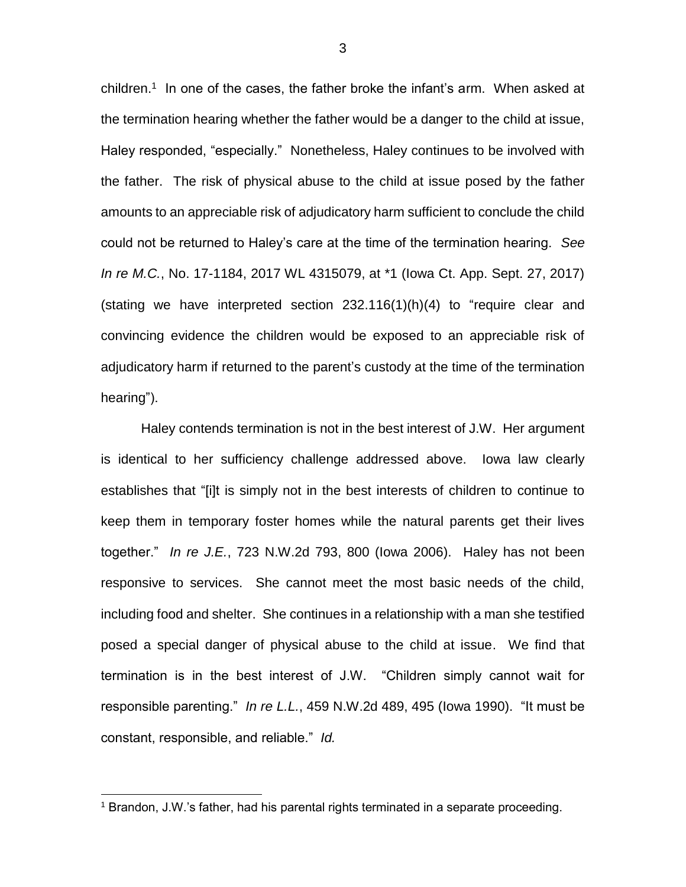children.<sup>1</sup> In one of the cases, the father broke the infant's arm. When asked at the termination hearing whether the father would be a danger to the child at issue, Haley responded, "especially." Nonetheless, Haley continues to be involved with the father. The risk of physical abuse to the child at issue posed by the father amounts to an appreciable risk of adjudicatory harm sufficient to conclude the child could not be returned to Haley's care at the time of the termination hearing. *See In re M.C.*, No. 17-1184, 2017 WL 4315079, at \*1 (Iowa Ct. App. Sept. 27, 2017) (stating we have interpreted section 232.116(1)(h)(4) to "require clear and convincing evidence the children would be exposed to an appreciable risk of adjudicatory harm if returned to the parent's custody at the time of the termination hearing").

Haley contends termination is not in the best interest of J.W. Her argument is identical to her sufficiency challenge addressed above. Iowa law clearly establishes that "[i]t is simply not in the best interests of children to continue to keep them in temporary foster homes while the natural parents get their lives together." *In re J.E.*, 723 N.W.2d 793, 800 (Iowa 2006). Haley has not been responsive to services. She cannot meet the most basic needs of the child, including food and shelter. She continues in a relationship with a man she testified posed a special danger of physical abuse to the child at issue. We find that termination is in the best interest of J.W. "Children simply cannot wait for responsible parenting." *In re L.L.*, 459 N.W.2d 489, 495 (Iowa 1990). "It must be constant, responsible, and reliable." *Id.*

 $\overline{a}$ 

 $1$  Brandon, J.W.'s father, had his parental rights terminated in a separate proceeding.